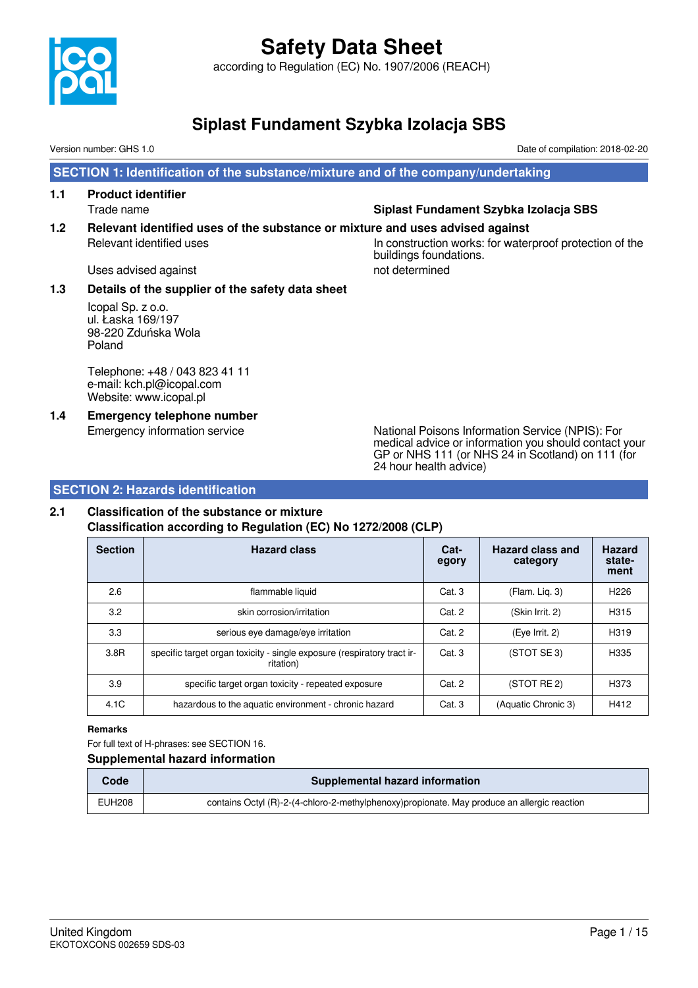

according to Regulation (EC) No. 1907/2006 (REACH)

## **Siplast Fundament Szybka Izolacja SBS**

Version number: GHS 1.0 Date of compilation: 2018-02-20

 **SECTION 1: Identification of the substance/mixture and of the company/undertaking**

**1.1 Product identifier**

#### Trade name **Siplast Fundament Szybka Izolacja SBS**

**1.2 Relevant identified uses of the substance or mixture and uses advised against**

## Relevant identified uses The Inconstruction works: for waterproof protection of the buildings foundations.

Uses advised against not determined

#### **1.3 Details of the supplier of the safety data sheet**

Icopal Sp. z o.o. ul. Łaska 169/197 98-220 Zduńska Wola Poland

Telephone: +48 / 043 823 41 11 e-mail: kch.pl@icopal.com Website: www.icopal.pl

**1.4 Emergency telephone number**

Emergency information service National Poisons Information Service (NPIS): For medical advice or information you should contact your GP or NHS 111 (or NHS 24 in Scotland) on 111 (for 24 hour health advice)

#### **SECTION 2: Hazards identification**

## **2.1 Classification of the substance or mixture**

**Classification according to Regulation (EC) No 1272/2008 (CLP)**

| <b>Section</b> | <b>Hazard class</b>                                                                  | Cat-<br>egory | Hazard class and<br>category | <b>Hazard</b><br>state-<br>ment |
|----------------|--------------------------------------------------------------------------------------|---------------|------------------------------|---------------------------------|
| 2.6            | flammable liquid                                                                     | Cat.3         | (Flam. Liq. 3)               | H <sub>226</sub>                |
| 3.2            | skin corrosion/irritation                                                            | Cat. 2        | (Skin Irrit. 2)              | H315                            |
| 3.3            | serious eye damage/eye irritation                                                    | Cat. 2        | (Eye Irrit. 2)               | H319                            |
| 3.8R           | specific target organ toxicity - single exposure (respiratory tract ir-<br>ritation) | Cat.3         | (STOT SE 3)                  | H335                            |
| 3.9            | specific target organ toxicity - repeated exposure                                   | Cat. 2        | (STOT RE 2)                  | H373                            |
| 4.1C           | hazardous to the aquatic environment - chronic hazard                                | Cat.3         | (Aquatic Chronic 3)          | H412                            |

#### **Remarks**

For full text of H-phrases: see SECTION 16.

#### **Supplemental hazard information**

| Code          | Supplemental hazard information                                                             |
|---------------|---------------------------------------------------------------------------------------------|
| <b>EUH208</b> | contains Octyl (R)-2-(4-chloro-2-methylphenoxy)propionate. May produce an allergic reaction |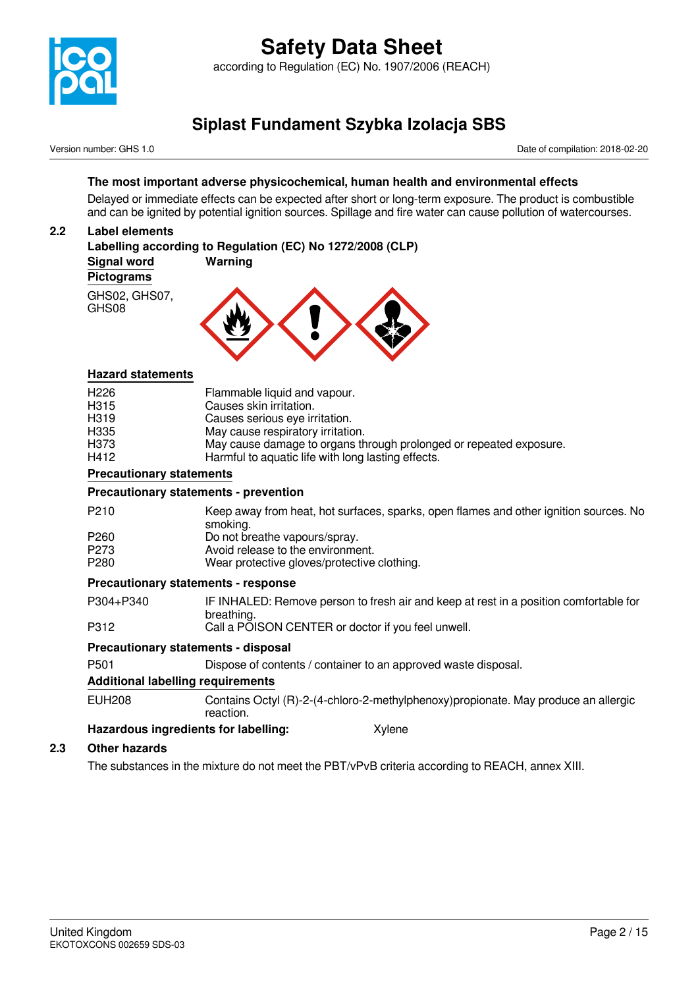

Version number: GHS 1.0 Date of compilation: 2018-02-20

#### **The most important adverse physicochemical, human health and environmental effects**

Delayed or immediate effects can be expected after short or long-term exposure. The product is combustible and can be ignited by potential ignition sources. Spillage and fire water can cause pollution of watercourses.

#### **2.2 Label elements**

|                        | Labelling according to Regulation (EC) No 1272/2008 (CLP) |  |
|------------------------|-----------------------------------------------------------|--|
| Signal word            | Warning                                                   |  |
| <b>Pictograms</b>      |                                                           |  |
| GHS02, GHS07,<br>GHS08 |                                                           |  |

#### **Hazard statements**

| H412              | Harmful to aquatic life with long lasting effects.                 |
|-------------------|--------------------------------------------------------------------|
| H373              | May cause damage to organs through prolonged or repeated exposure. |
| H335              | May cause respiratory irritation.                                  |
| H <sub>3</sub> 19 | Causes serious eye irritation.                                     |
| H315              | Causes skin irritation.                                            |
| H <sub>226</sub>  | Flammable liquid and vapour.                                       |

#### **Precautionary statements**

#### **Precautionary statements - prevention**

| P <sub>210</sub> | Keep away from heat, hot surfaces, sparks, open flames and other ignition sources. No |
|------------------|---------------------------------------------------------------------------------------|
|                  | smoking.                                                                              |
| P <sub>260</sub> | Do not breathe vapours/spray.                                                         |
| P273             | Avoid release to the environment.                                                     |
| P <sub>280</sub> | Wear protective gloves/protective clothing.                                           |

#### **Precautionary statements - response**

P304+P340 IF INHALED: Remove person to fresh air and keep at rest in a position comfortable for breathing.

P312 Call a POISON CENTER or doctor if you feel unwell.

#### **Precautionary statements - disposal**

P501 Dispose of contents / container to an approved waste disposal.

#### **Additional labelling requirements**

EUH208 Contains Octyl (R)-2-(4-chloro-2-methylphenoxy)propionate. May produce an allergic reaction.

#### **Hazardous ingredients for labelling:** Xylene

#### **2.3 Other hazards**

The substances in the mixture do not meet the PBT/vPvB criteria according to REACH, annex XIII.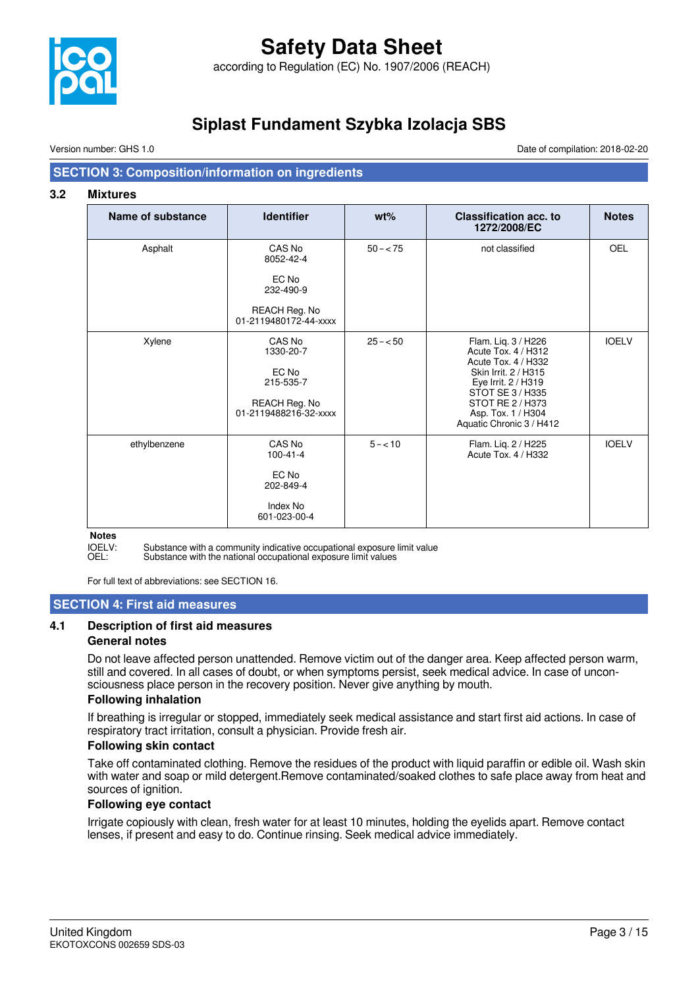

## **Safety Data Sheet** according to Regulation (EC) No. 1907/2006 (REACH)

**Siplast Fundament Szybka Izolacja SBS**

Version number: GHS 1.0 Date of compilation: 2018-02-20

#### **SECTION 3: Composition/information on ingredients**

#### **3.2 Mixtures**

| Name of substance | <b>Identifier</b>                                                                   | $wt\%$      | <b>Classification acc. to</b><br>1272/2008/EC                                                                                                                                                              | <b>Notes</b> |
|-------------------|-------------------------------------------------------------------------------------|-------------|------------------------------------------------------------------------------------------------------------------------------------------------------------------------------------------------------------|--------------|
| Asphalt           | CAS No<br>8052-42-4                                                                 | $50 - < 75$ | not classified                                                                                                                                                                                             | OEL          |
|                   | EC No<br>232-490-9                                                                  |             |                                                                                                                                                                                                            |              |
|                   | REACH Reg. No<br>01-2119480172-44-xxxx                                              |             |                                                                                                                                                                                                            |              |
| Xylene            | CAS No<br>1330-20-7<br>EC No<br>215-535-7<br>REACH Reg. No<br>01-2119488216-32-xxxx | $25 - 50$   | Flam. Lig. 3 / H226<br>Acute Tox. 4 / H312<br>Acute Tox. 4 / H332<br>Skin Irrit. 2 / H315<br>Eye Irrit. 2 / H319<br>STOT SE 3 / H335<br>STOT RE 2 / H373<br>Asp. Tox. 1 / H304<br>Aquatic Chronic 3 / H412 | <b>IOELV</b> |
| ethylbenzene      | CAS No<br>$100 - 41 - 4$<br>EC No<br>202-849-4<br>Index No<br>601-023-00-4          | $5 - 10$    | Flam. Lig. 2 / H225<br>Acute Tox. 4 / H332                                                                                                                                                                 | <b>IOELV</b> |

## **Notes**

IOELV: Substance with a community indicative occupational exposure limit value<br>OEL: Substance with the national occupational exposure limit values

Substance with the national occupational exposure limit values

For full text of abbreviations: see SECTION 16.

#### **SECTION 4: First aid measures**

#### **4.1 Description of first aid measures**

#### **General notes**

Do not leave affected person unattended. Remove victim out of the danger area. Keep affected person warm, still and covered. In all cases of doubt, or when symptoms persist, seek medical advice. In case of unconsciousness place person in the recovery position. Never give anything by mouth.

#### **Following inhalation**

If breathing is irregular or stopped, immediately seek medical assistance and start first aid actions. In case of respiratory tract irritation, consult a physician. Provide fresh air.

#### **Following skin contact**

Take off contaminated clothing. Remove the residues of the product with liquid paraffin or edible oil. Wash skin with water and soap or mild detergent.Remove contaminated/soaked clothes to safe place away from heat and sources of ignition.

#### **Following eye contact**

Irrigate copiously with clean, fresh water for at least 10 minutes, holding the eyelids apart. Remove contact lenses, if present and easy to do. Continue rinsing. Seek medical advice immediately.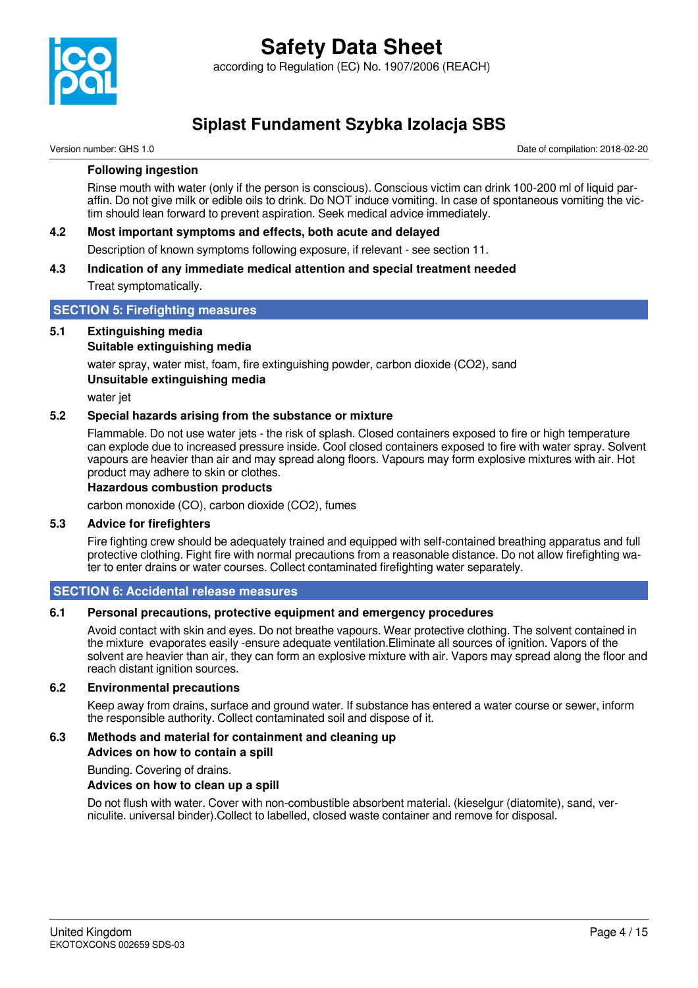

Version number: GHS 1.0 Date of compilation: 2018-02-20

#### **Following ingestion**

Rinse mouth with water (only if the person is conscious). Conscious victim can drink 100-200 ml of liquid paraffin. Do not give milk or edible oils to drink. Do NOT induce vomiting. In case of spontaneous vomiting the victim should lean forward to prevent aspiration. Seek medical advice immediately.

#### **4.2 Most important symptoms and effects, both acute and delayed**

Description of known symptoms following exposure, if relevant - see section 11.

#### **4.3 Indication of any immediate medical attention and special treatment needed**

Treat symptomatically.

#### **SECTION 5: Firefighting measures**

#### **5.1 Extinguishing media**

#### **Suitable extinguishing media**

water spray, water mist, foam, fire extinguishing powder, carbon dioxide (CO2), sand **Unsuitable extinguishing media**

water jet

#### **5.2 Special hazards arising from the substance or mixture**

Flammable. Do not use water jets - the risk of splash. Closed containers exposed to fire or high temperature can explode due to increased pressure inside. Cool closed containers exposed to fire with water spray. Solvent vapours are heavier than air and may spread along floors. Vapours may form explosive mixtures with air. Hot product may adhere to skin or clothes.

#### **Hazardous combustion products**

carbon monoxide (CO), carbon dioxide (CO2), fumes

#### **5.3 Advice for firefighters**

Fire fighting crew should be adequately trained and equipped with self-contained breathing apparatus and full protective clothing. Fight fire with normal precautions from a reasonable distance. Do not allow firefighting water to enter drains or water courses. Collect contaminated firefighting water separately.

#### **SECTION 6: Accidental release measures**

#### **6.1 Personal precautions, protective equipment and emergency procedures**

Avoid contact with skin and eyes. Do not breathe vapours. Wear protective clothing. The solvent contained in the mixture evaporates easily -ensure adequate ventilation.Eliminate all sources of ignition. Vapors of the solvent are heavier than air, they can form an explosive mixture with air. Vapors may spread along the floor and reach distant ignition sources.

#### **6.2 Environmental precautions**

Keep away from drains, surface and ground water. If substance has entered a water course or sewer, inform the responsible authority. Collect contaminated soil and dispose of it.

#### **6.3 Methods and material for containment and cleaning up**

**Advices on how to contain a spill**

Bunding. Covering of drains.

#### **Advices on how to clean up a spill**

Do not flush with water. Cover with non-combustible absorbent material. (kieselgur (diatomite), sand, verniculite. universal binder).Collect to labelled, closed waste container and remove for disposal.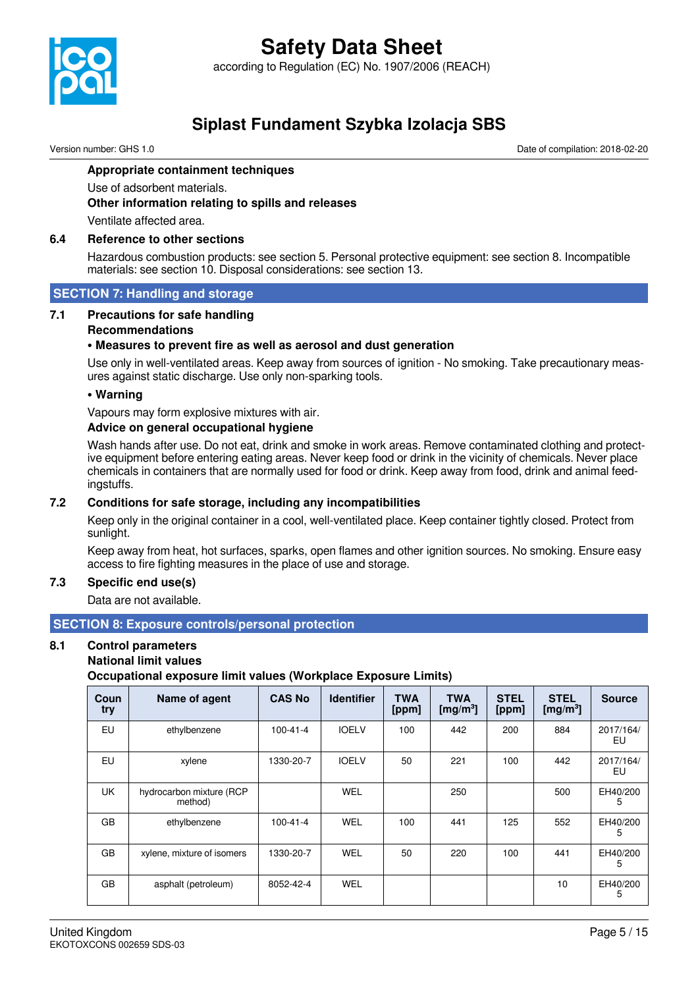

## **Safety Data Sheet** according to Regulation (EC) No. 1907/2006 (REACH)

**Siplast Fundament Szybka Izolacja SBS**

Version number: GHS 1.0 Date of compilation: 2018-02-20

#### **Appropriate containment techniques**

Use of adsorbent materials.

**Other information relating to spills and releases**

Ventilate affected area.

#### **6.4 Reference to other sections**

Hazardous combustion products: see section 5. Personal protective equipment: see section 8. Incompatible materials: see section 10. Disposal considerations: see section 13.

#### **SECTION 7: Handling and storage**

#### **7.1 Precautions for safe handling**

#### **Recommendations**

#### **• Measures to prevent fire as well as aerosol and dust generation**

Use only in well-ventilated areas. Keep away from sources of ignition - No smoking. Take precautionary measures against static discharge. Use only non-sparking tools.

#### **• Warning**

Vapours may form explosive mixtures with air.

#### **Advice on general occupational hygiene**

Wash hands after use. Do not eat, drink and smoke in work areas. Remove contaminated clothing and protective equipment before entering eating areas. Never keep food or drink in the vicinity of chemicals. Never place chemicals in containers that are normally used for food or drink. Keep away from food, drink and animal feedingstuffs.

#### **7.2 Conditions for safe storage, including any incompatibilities**

Keep only in the original container in a cool, well-ventilated place. Keep container tightly closed. Protect from sunlight.

Keep away from heat, hot surfaces, sparks, open flames and other ignition sources. No smoking. Ensure easy access to fire fighting measures in the place of use and storage.

#### **7.3 Specific end use(s)**

Data are not available.

#### **SECTION 8: Exposure controls/personal protection**

## **8.1 Control parameters**

#### **National limit values**

**Occupational exposure limit values (Workplace Exposure Limits)**

| Coun<br>try | Name of agent                       | <b>CAS No</b>  | <b>Identifier</b> | <b>TWA</b><br>[ppm] | <b>TWA</b><br>[mg/m <sup>3</sup> ] | <b>STEL</b><br>[ppm] | <b>STEL</b><br>[mg/m <sup>3</sup> ] | <b>Source</b>   |
|-------------|-------------------------------------|----------------|-------------------|---------------------|------------------------------------|----------------------|-------------------------------------|-----------------|
| EU          | ethylbenzene                        | $100 - 41 - 4$ | <b>IOELV</b>      | 100                 | 442                                | 200                  | 884                                 | 2017/164/<br>EU |
| EU          | xylene                              | 1330-20-7      | <b>IOELV</b>      | 50                  | 221                                | 100                  | 442                                 | 2017/164/<br>EU |
| <b>UK</b>   | hydrocarbon mixture (RCP<br>method) |                | <b>WEL</b>        |                     | 250                                |                      | 500                                 | EH40/200<br>5   |
| GB          | ethylbenzene                        | $100 - 41 - 4$ | <b>WEL</b>        | 100                 | 441                                | 125                  | 552                                 | EH40/200<br>5   |
| GB          | xylene, mixture of isomers          | 1330-20-7      | <b>WEL</b>        | 50                  | 220                                | 100                  | 441                                 | EH40/200<br>5   |
| GB          | asphalt (petroleum)                 | 8052-42-4      | <b>WEL</b>        |                     |                                    |                      | 10                                  | EH40/200<br>5.  |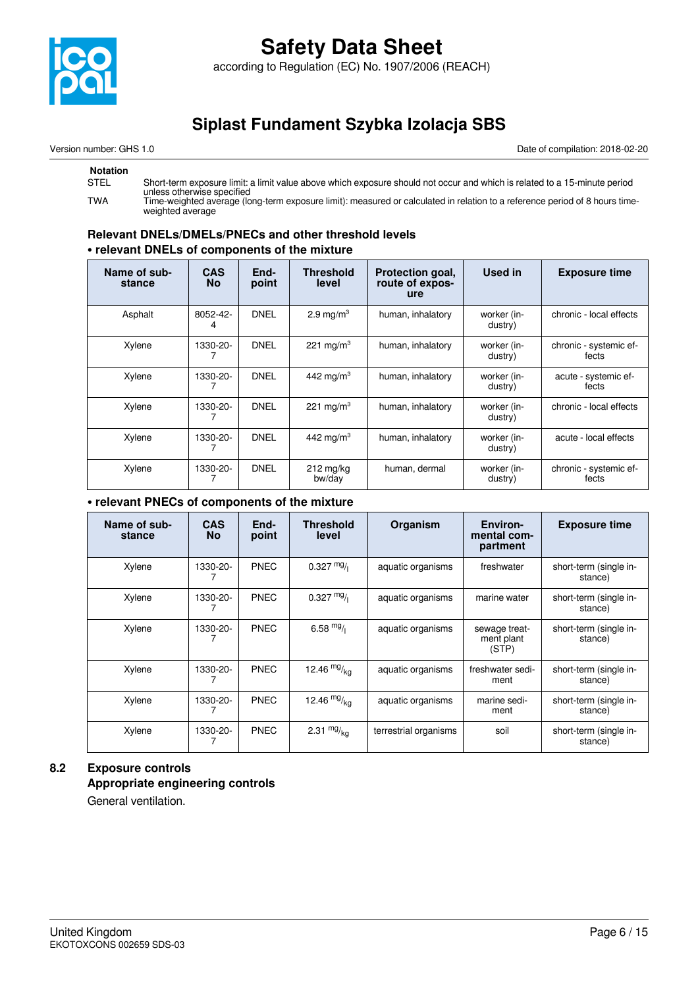

according to Regulation (EC) No. 1907/2006 (REACH)

## **Siplast Fundament Szybka Izolacja SBS**

Version number: GHS 1.0 Date of compilation: 2018-02-20

#### **Notation**

| STEL | Short-term exposure limit: a limit value above which exposure should not occur and which is related to a 15-minute period<br>unless otherwise specified |
|------|---------------------------------------------------------------------------------------------------------------------------------------------------------|
| TWA  | Time-weighted average (long-term exposure limit): measured or calculated in relation to a reference period of 8 hours time-<br>weighted average         |

#### **Relevant DNELs/DMELs/PNECs and other threshold levels • relevant DNELs of components of the mixture**

| Name of sub-<br>stance | <b>CAS</b><br><b>No</b> | End-<br>point | <b>Threshold</b><br>level     | Protection goal,<br>route of expos-<br><b>ure</b> | Used in                | <b>Exposure time</b>            |
|------------------------|-------------------------|---------------|-------------------------------|---------------------------------------------------|------------------------|---------------------------------|
| Asphalt                | 8052-42-                | <b>DNEL</b>   | 2.9 mg/m <sup>3</sup>         | human, inhalatory                                 | worker (in-<br>dustry) | chronic - local effects         |
| Xylene                 | 1330-20-                | <b>DNEL</b>   | 221 mg/m <sup>3</sup>         | human, inhalatory                                 | worker (in-<br>dustry) | chronic - systemic ef-<br>fects |
| Xylene                 | 1330-20-                | <b>DNEL</b>   | 442 mg/m $3$                  | human, inhalatory                                 | worker (in-<br>dustry) | acute - systemic ef-<br>fects   |
| Xylene                 | 1330-20-                | <b>DNEL</b>   | 221 mg/m <sup>3</sup>         | human, inhalatory                                 | worker (in-<br>dustry) | chronic - local effects         |
| Xylene                 | 1330-20-                | <b>DNEL</b>   | 442 mg/m <sup>3</sup>         | human, inhalatory                                 | worker (in-<br>dustry) | acute - local effects           |
| Xylene                 | 1330-20-                | <b>DNEL</b>   | $212 \text{ mg/kg}$<br>bw/day | human, dermal                                     | worker (in-<br>dustry) | chronic - systemic ef-<br>fects |

#### **• relevant PNECs of components of the mixture**

| Name of sub-<br>stance | <b>CAS</b><br><b>No</b> | End-<br>point | <b>Threshold</b><br>level | Organism              | Environ-<br>mental com-<br>partment  | <b>Exposure time</b>              |
|------------------------|-------------------------|---------------|---------------------------|-----------------------|--------------------------------------|-----------------------------------|
| Xylene                 | 1330-20-                | <b>PNEC</b>   | $0.327 \text{ mg}$        | aquatic organisms     | freshwater                           | short-term (single in-<br>stance) |
| Xylene                 | 1330-20-                | <b>PNEC</b>   | $0.327 \text{ mg}$        | aquatic organisms     | marine water                         | short-term (single in-<br>stance) |
| Xylene                 | 1330-20-                | <b>PNEC</b>   | 6.58 $mg/$                | aquatic organisms     | sewage treat-<br>ment plant<br>(STP) | short-term (single in-<br>stance) |
| Xylene                 | 1330-20-                | <b>PNEC</b>   | 12.46 $mg/kq$             | aquatic organisms     | freshwater sedi-<br>ment             | short-term (single in-<br>stance) |
| Xylene                 | 1330-20-                | PNEC          | 12.46 $mg/kq$             | aquatic organisms     | marine sedi-<br>ment                 | short-term (single in-<br>stance) |
| Xylene                 | 1330-20-                | <b>PNEC</b>   | 2.31 $mg/kq$              | terrestrial organisms | soil                                 | short-term (single in-<br>stance) |

### **8.2 Exposure controls Appropriate engineering controls**

General ventilation.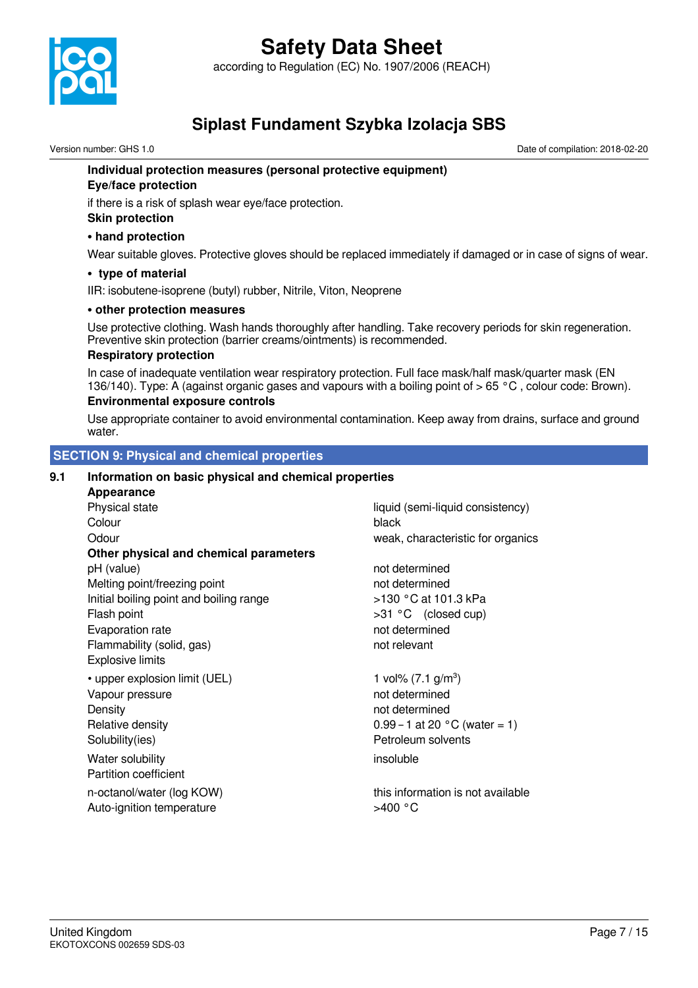

according to Regulation (EC) No. 1907/2006 (REACH)

## **Siplast Fundament Szybka Izolacja SBS**

Version number: GHS 1.0 Date of compilation: 2018-02-20

#### **Individual protection measures (personal protective equipment)**

#### **Eye/face protection**

if there is a risk of splash wear eye/face protection.

#### **Skin protection**

#### **• hand protection**

Wear suitable gloves. Protective gloves should be replaced immediately if damaged or in case of signs of wear.

#### **• type of material**

IIR: isobutene-isoprene (butyl) rubber, Nitrile, Viton, Neoprene

#### **• other protection measures**

Use protective clothing. Wash hands thoroughly after handling. Take recovery periods for skin regeneration. Preventive skin protection (barrier creams/ointments) is recommended.

#### **Respiratory protection**

In case of inadequate ventilation wear respiratory protection. Full face mask/half mask/quarter mask (EN 136/140). Type: A (against organic gases and vapours with a boiling point of > 65 °C , colour code: Brown).

#### **Environmental exposure controls**

Use appropriate container to avoid environmental contamination. Keep away from drains, surface and ground water.

#### **SECTION 9: Physical and chemical properties**

#### **9.1 Information on basic physical and chemical properties**

| Appearance                              |                                         |
|-----------------------------------------|-----------------------------------------|
| Physical state                          | liquid (semi-liquid consistency)        |
| Colour                                  | black                                   |
| Odour                                   | weak, characteristic for organics       |
| Other physical and chemical parameters  |                                         |
| pH (value)                              | not determined                          |
| Melting point/freezing point            | not determined                          |
| Initial boiling point and boiling range | >130 °C at 101.3 kPa                    |
| Flash point                             | >31 °C (closed cup)                     |
| Evaporation rate                        | not determined                          |
| Flammability (solid, gas)               | not relevant                            |
| <b>Explosive limits</b>                 |                                         |
| • upper explosion limit (UEL)           | 1 vol% $(7.1 \text{ g/m}^3)$            |
| Vapour pressure                         | not determined                          |
| Density                                 | not determined                          |
| Relative density                        | 0.99 – 1 at 20 $^{\circ}$ C (water = 1) |
| Solubility(ies)                         | Petroleum solvents                      |
| Water solubility                        | insoluble                               |
| <b>Partition coefficient</b>            |                                         |
| n-octanol/water (log KOW)               | this information is not available       |
| Auto-ignition temperature               | >400 °C                                 |
|                                         |                                         |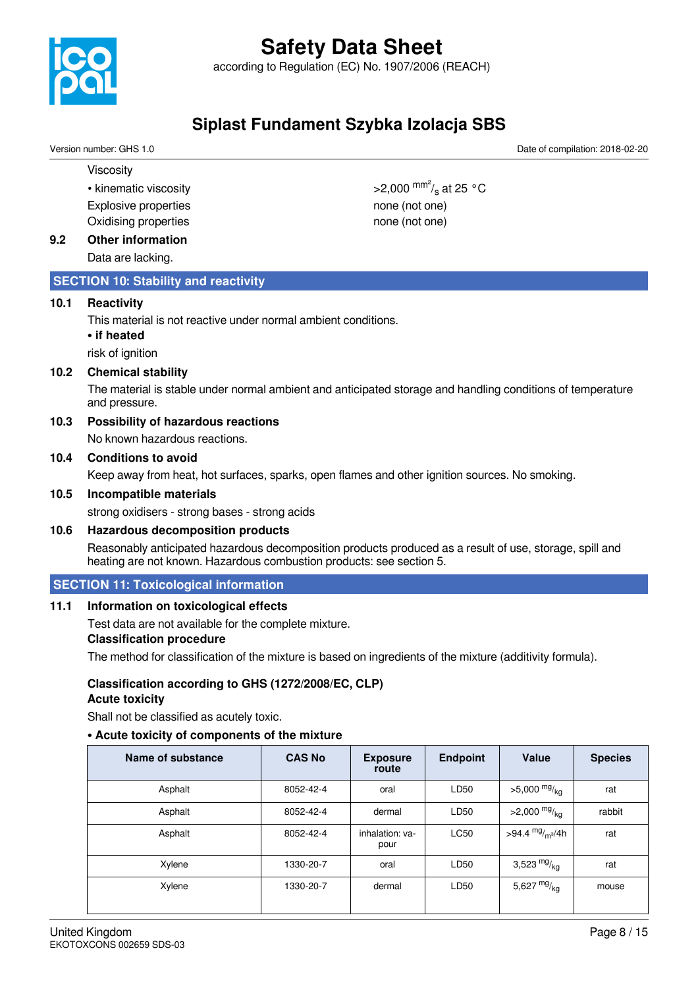

according to Regulation (EC) No. 1907/2006 (REACH)

## **Siplast Fundament Szybka Izolacja SBS**

Version number: GHS 1.0 Date of compilation: 2018-02-20

Viscosity

• kinematic viscosity Explosive properties none (not one) Oxidising properties none (not one)

#### **9.2 Other information**

Data are lacking.

#### **SECTION 10: Stability and reactivity**

#### **10.1 Reactivity**

This material is not reactive under normal ambient conditions.

#### **• if heated**

risk of ignition

#### **10.2 Chemical stability**

The material is stable under normal ambient and anticipated storage and handling conditions of temperature and pressure.

#### **10.3 Possibility of hazardous reactions**

No known hazardous reactions.

#### **10.4 Conditions to avoid**

Keep away from heat, hot surfaces, sparks, open flames and other ignition sources. No smoking.

#### **10.5 Incompatible materials**

strong oxidisers - strong bases - strong acids

#### **10.6 Hazardous decomposition products**

Reasonably anticipated hazardous decomposition products produced as a result of use, storage, spill and heating are not known. Hazardous combustion products: see section 5.

#### **SECTION 11: Toxicological information**

#### **11.1 Information on toxicological effects**

Test data are not available for the complete mixture.

#### **Classification procedure**

The method for classification of the mixture is based on ingredients of the mixture (additivity formula).

## **Classification according to GHS (1272/2008/EC, CLP)**

#### **Acute toxicity**

Shall not be classified as acutely toxic.

#### **• Acute toxicity of components of the mixture**

| Name of substance | <b>CAS No</b> | <b>Exposure</b><br>route | <b>Endpoint</b> | Value                      | <b>Species</b> |
|-------------------|---------------|--------------------------|-----------------|----------------------------|----------------|
| Asphalt           | 8052-42-4     | oral                     | LD50            | $>5,000 \frac{mg}{kg}$     | rat            |
| Asphalt           | 8052-42-4     | dermal                   | LD50            | $>2,000$ mg/ <sub>kg</sub> | rabbit         |
| Asphalt           | 8052-42-4     | inhalation: va-<br>pour  | <b>LC50</b>     | >94.4 $mg/m^{3}/4h$        | rat            |
| Xylene            | 1330-20-7     | oral                     | LD50            | 3,523 $mg/kq$              | rat            |
| Xylene            | 1330-20-7     | dermal                   | LD50            | 5,627 $mg/kq$              | mouse          |

>2,000  $\frac{mm^2}{s}$  at 25 °C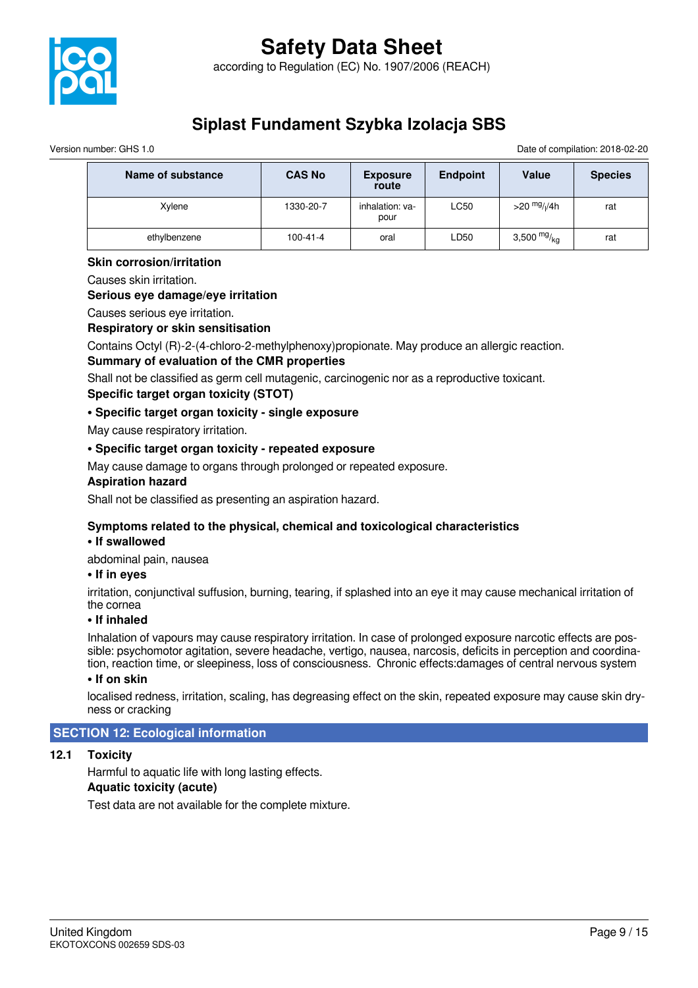

Version number: GHS 1.0 Date of compilation: 2018-02-20

| Name of substance | <b>CAS No</b>  | <b>Exposure</b><br>route | <b>Endpoint</b> | Value                          | <b>Species</b> |
|-------------------|----------------|--------------------------|-----------------|--------------------------------|----------------|
| Xylene            | 1330-20-7      | inhalation: va-<br>pour  | LC50            | $>$ 20 $mg$ / <sub>I</sub> /4h | rat            |
| ethylbenzene      | $100 - 41 - 4$ | oral                     | ∟D50            | 3,500 $mg/kg$                  | rat            |

#### **Skin corrosion/irritation**

Causes skin irritation.

#### **Serious eye damage/eye irritation**

Causes serious eye irritation.

#### **Respiratory or skin sensitisation**

Contains Octyl (R)-2-(4-chloro-2-methylphenoxy)propionate. May produce an allergic reaction.

#### **Summary of evaluation of the CMR properties**

Shall not be classified as germ cell mutagenic, carcinogenic nor as a reproductive toxicant. **Specific target organ toxicity (STOT)**

#### **• Specific target organ toxicity - single exposure**

May cause respiratory irritation.

#### **• Specific target organ toxicity - repeated exposure**

May cause damage to organs through prolonged or repeated exposure.

#### **Aspiration hazard**

Shall not be classified as presenting an aspiration hazard.

#### **Symptoms related to the physical, chemical and toxicological characteristics**

#### **• If swallowed**

abdominal pain, nausea

#### **• If in eyes**

irritation, conjunctival suffusion, burning, tearing, if splashed into an eye it may cause mechanical irritation of the cornea

#### **• If inhaled**

Inhalation of vapours may cause respiratory irritation. In case of prolonged exposure narcotic effects are possible: psychomotor agitation, severe headache, vertigo, nausea, narcosis, deficits in perception and coordination, reaction time, or sleepiness, loss of consciousness. Chronic effects:damages of central nervous system

#### **• If on skin**

localised redness, irritation, scaling, has degreasing effect on the skin, repeated exposure may cause skin dryness or cracking

#### **SECTION 12: Ecological information**

#### **12.1 Toxicity**

Harmful to aquatic life with long lasting effects.

#### **Aquatic toxicity (acute)**

Test data are not available for the complete mixture.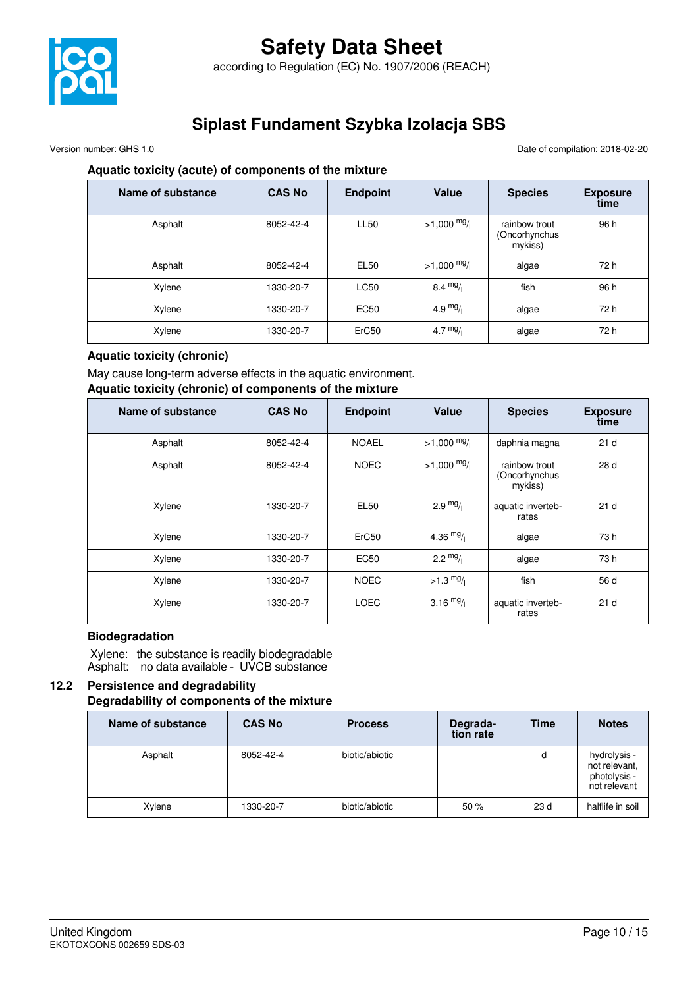

Version number: GHS 1.0 Date of compilation: 2018-02-20

#### **Aquatic toxicity (acute) of components of the mixture**

| <b>Name of substance</b> | <b>CAS No</b> | <b>Endpoint</b>   | Value                 | <b>Species</b>                            | <b>Exposure</b><br>time |
|--------------------------|---------------|-------------------|-----------------------|-------------------------------------------|-------------------------|
| Asphalt                  | 8052-42-4     | <b>LL50</b>       | $>1,000 \frac{mg}{l}$ | rainbow trout<br>(Oncorhynchus<br>mykiss) | 96 h                    |
| Asphalt                  | 8052-42-4     | <b>EL50</b>       | $>1,000 \frac{mg}{l}$ | algae                                     | 72 h                    |
| Xylene                   | 1330-20-7     | <b>LC50</b>       | $8.4 \frac{mg}{l}$    | fish                                      | 96 h                    |
| Xylene                   | 1330-20-7     | <b>EC50</b>       | 4.9 $mg/1$            | algae                                     | 72 h                    |
| Xylene                   | 1330-20-7     | ErC <sub>50</sub> | 4.7 $mg/1$            | algae                                     | 72 h                    |

#### **Aquatic toxicity (chronic)**

May cause long-term adverse effects in the aquatic environment.

#### **Aquatic toxicity (chronic) of components of the mixture**

| Name of substance | <b>CAS No</b> | <b>Endpoint</b>   | Value               | <b>Species</b>                            | <b>Exposure</b><br>time |
|-------------------|---------------|-------------------|---------------------|-------------------------------------------|-------------------------|
| Asphalt           | 8052-42-4     | <b>NOAEL</b>      | $>1,000$ mg/        | daphnia magna                             | 21 <sub>d</sub>         |
| Asphalt           | 8052-42-4     | <b>NOEC</b>       | $>1,000$ mg/        | rainbow trout<br>(Oncorhynchus<br>mykiss) | 28 d                    |
| Xylene            | 1330-20-7     | <b>EL50</b>       | $2.9 \frac{mg}{l}$  | aquatic inverteb-<br>rates                | 21 <sub>d</sub>         |
| Xylene            | 1330-20-7     | ErC <sub>50</sub> | 4.36 $mg/$          | algae                                     | 73 h                    |
| Xylene            | 1330-20-7     | <b>EC50</b>       | $2.2 \frac{mg}{l}$  | algae                                     | 73 h                    |
| Xylene            | 1330-20-7     | <b>NOEC</b>       | $>1.3 \frac{mg}{l}$ | fish                                      | 56 d                    |
| Xylene            | 1330-20-7     | <b>LOEC</b>       | 3.16 $mg/$          | aquatic inverteb-<br>rates                | 21 <sub>d</sub>         |

#### **Biodegradation**

 Xylene: the substance is readily biodegradable Asphalt: no data available - UVCB substance

#### **12.2 Persistence and degradability Degradability of components of the mixture**

| Name of substance | <b>CAS No</b> | <b>Process</b> | Degrada-<br>tion rate | <b>Time</b>     | <b>Notes</b>                                                  |
|-------------------|---------------|----------------|-----------------------|-----------------|---------------------------------------------------------------|
| Asphalt           | 8052-42-4     | biotic/abiotic |                       | d               | hydrolysis -<br>not relevant,<br>photolysis -<br>not relevant |
| Xylene            | 1330-20-7     | biotic/abiotic | 50%                   | 23 <sub>d</sub> | halflife in soil                                              |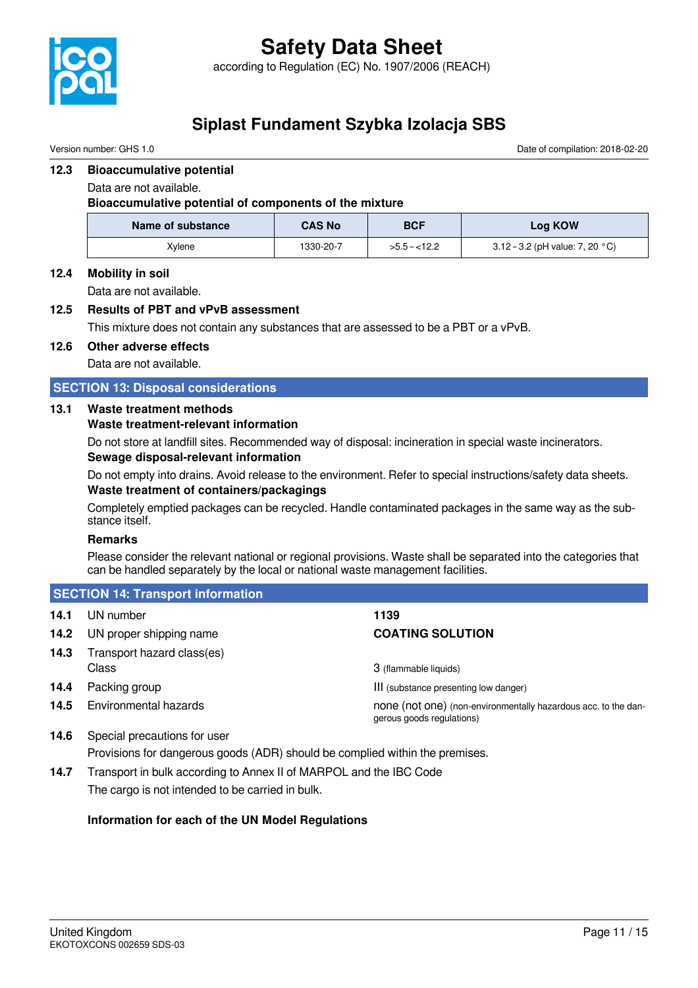

Version number: GHS 1.0 Date of compilation: 2018-02-20

#### **12.3 Bioaccumulative potential**

Data are not available.

**Bioaccumulative potential of components of the mixture**

| Name of substance | <b>CAS No</b> | <b>BCF</b>    | Log KOW                                   |
|-------------------|---------------|---------------|-------------------------------------------|
| Xvlene            | 1330-20-7     | $>5.5 - 12.2$ | 3.12 – 3.2 (pH value: 7, 20 $^{\circ}$ C) |

#### **12.4 Mobility in soil**

Data are not available.

#### **12.5 Results of PBT and vPvB assessment**

This mixture does not contain any substances that are assessed to be a PBT or a vPvB.

#### **12.6 Other adverse effects**

Data are not available.

#### **SECTION 13: Disposal considerations**

#### **13.1 Waste treatment methods**

#### **Waste treatment-relevant information**

Do not store at landfill sites. Recommended way of disposal: incineration in special waste incinerators. **Sewage disposal-relevant information**

Do not empty into drains. Avoid release to the environment. Refer to special instructions/safety data sheets. **Waste treatment of containers/packagings**

Completely emptied packages can be recycled. Handle contaminated packages in the same way as the substance itself.

#### **Remarks**

Please consider the relevant national or regional provisions. Waste shall be separated into the categories that can be handled separately by the local or national waste management facilities.

|      | <b>SECTION 14: Transport information</b> |                                                                                             |  |  |  |
|------|------------------------------------------|---------------------------------------------------------------------------------------------|--|--|--|
| 14.1 | UN number                                | 1139                                                                                        |  |  |  |
| 14.2 | UN proper shipping name                  | <b>COATING SOLUTION</b>                                                                     |  |  |  |
| 14.3 | Transport hazard class(es)<br>Class      | 3 (flammable liquids)                                                                       |  |  |  |
| 14.4 | Packing group                            | III (substance presenting low danger)                                                       |  |  |  |
| 14.5 | Environmental hazards                    | none (not one) (non-environmentally hazardous acc. to the dan-<br>gerous goods regulations) |  |  |  |

- **14.6** Special precautions for user Provisions for dangerous goods (ADR) should be complied within the premises.
- **14.7** Transport in bulk according to Annex II of MARPOL and the IBC Code The cargo is not intended to be carried in bulk.

#### **Information for each of the UN Model Regulations**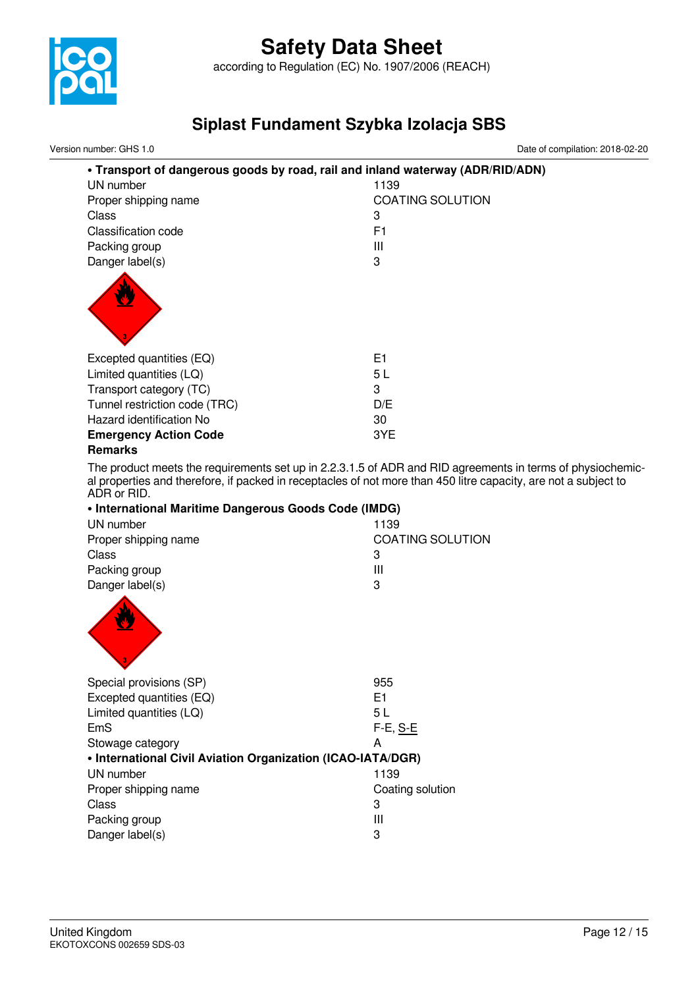

according to Regulation (EC) No. 1907/2006 (REACH)

## **Siplast Fundament Szybka Izolacja SBS**

| Version number: GHS 1.0                                     | Date of compilation: 2018-02-20                                                                                                                                                                                               |
|-------------------------------------------------------------|-------------------------------------------------------------------------------------------------------------------------------------------------------------------------------------------------------------------------------|
|                                                             | . Transport of dangerous goods by road, rail and inland waterway (ADR/RID/ADN)                                                                                                                                                |
| UN number                                                   | 1139                                                                                                                                                                                                                          |
| Proper shipping name                                        | <b>COATING SOLUTION</b>                                                                                                                                                                                                       |
| Class                                                       | 3                                                                                                                                                                                                                             |
| Classification code                                         | F <sub>1</sub>                                                                                                                                                                                                                |
| Packing group                                               | Ш                                                                                                                                                                                                                             |
| Danger label(s)                                             | 3                                                                                                                                                                                                                             |
|                                                             |                                                                                                                                                                                                                               |
|                                                             |                                                                                                                                                                                                                               |
|                                                             |                                                                                                                                                                                                                               |
|                                                             |                                                                                                                                                                                                                               |
|                                                             |                                                                                                                                                                                                                               |
| Excepted quantities (EQ)                                    | E <sub>1</sub>                                                                                                                                                                                                                |
| Limited quantities (LQ)                                     | 5L                                                                                                                                                                                                                            |
| Transport category (TC)                                     | 3                                                                                                                                                                                                                             |
| Tunnel restriction code (TRC)                               | D/E                                                                                                                                                                                                                           |
| Hazard identification No                                    | 30                                                                                                                                                                                                                            |
|                                                             | 3YE                                                                                                                                                                                                                           |
| <b>Emergency Action Code</b><br><b>Remarks</b>              |                                                                                                                                                                                                                               |
|                                                             |                                                                                                                                                                                                                               |
|                                                             | The product meets the requirements set up in 2.2.3.1.5 of ADR and RID agreements in terms of physiochemic-<br>al properties and therefore, if packed in receptacles of not more than 450 litre capacity, are not a subject to |
| ADR or RID.                                                 |                                                                                                                                                                                                                               |
| • International Maritime Dangerous Goods Code (IMDG)        |                                                                                                                                                                                                                               |
| UN number                                                   | 1139                                                                                                                                                                                                                          |
| Proper shipping name                                        | <b>COATING SOLUTION</b>                                                                                                                                                                                                       |
| Class                                                       | 3                                                                                                                                                                                                                             |
| Packing group                                               | Ш                                                                                                                                                                                                                             |
| Danger label(s)                                             | 3                                                                                                                                                                                                                             |
|                                                             |                                                                                                                                                                                                                               |
|                                                             |                                                                                                                                                                                                                               |
|                                                             |                                                                                                                                                                                                                               |
|                                                             |                                                                                                                                                                                                                               |
|                                                             |                                                                                                                                                                                                                               |
| Special provisions (SP)                                     | 955                                                                                                                                                                                                                           |
| Excepted quantities (EQ)                                    | E1                                                                                                                                                                                                                            |
| Limited quantities (LQ)                                     | 5L                                                                                                                                                                                                                            |
| EmS                                                         | F-E, S-E                                                                                                                                                                                                                      |
| Stowage category                                            | A                                                                                                                                                                                                                             |
| • International Civil Aviation Organization (ICAO-IATA/DGR) |                                                                                                                                                                                                                               |
| UN number                                                   | 1139                                                                                                                                                                                                                          |
| Proper shipping name                                        | Coating solution                                                                                                                                                                                                              |
| Class                                                       | 3                                                                                                                                                                                                                             |
| Packing group                                               | Ш                                                                                                                                                                                                                             |
|                                                             |                                                                                                                                                                                                                               |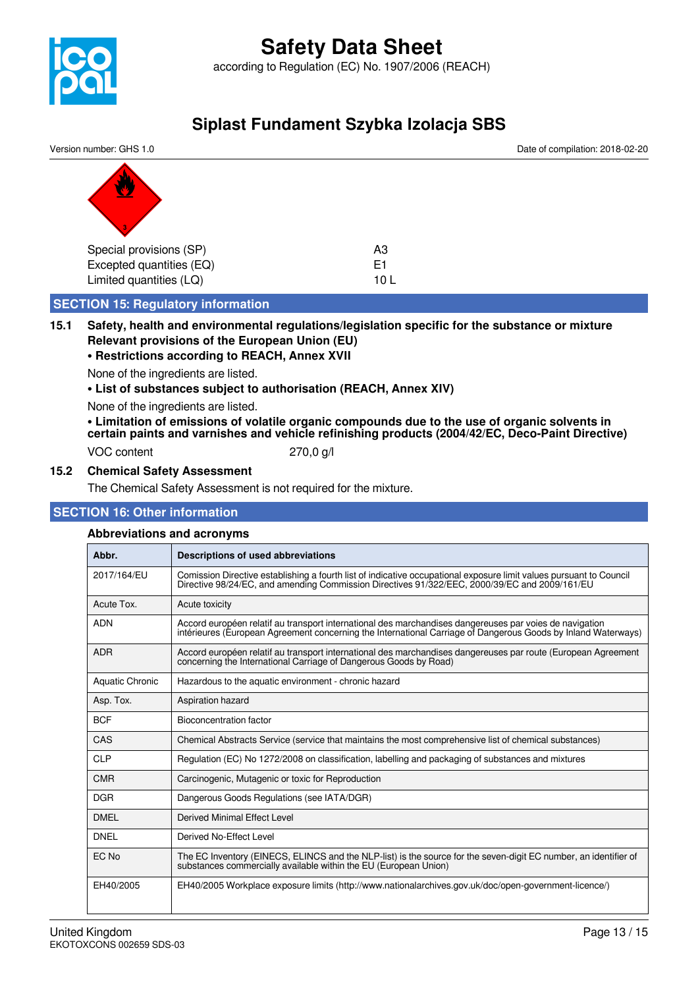



#### **15.1 Safety, health and environmental regulations/legislation specific for the substance or mixture Relevant provisions of the European Union (EU)**

#### **• Restrictions according to REACH, Annex XVII**

None of the ingredients are listed.

**• List of substances subject to authorisation (REACH, Annex XIV)**

None of the ingredients are listed.

**• Limitation of emissions of volatile organic compounds due to the use of organic solvents in certain paints and varnishes and vehicle refinishing products (2004/42/EC, Deco-Paint Directive)**

VOC content 270,0 g/l

**15.2 Chemical Safety Assessment** The Chemical Safety Assessment is not required for the mixture.

#### **SECTION 16: Other information**

#### **Abbreviations and acronyms**

|                        | ADDI GVIALIONS AND ACIONYMIS                                                                                                                                                                                             |  |  |  |  |
|------------------------|--------------------------------------------------------------------------------------------------------------------------------------------------------------------------------------------------------------------------|--|--|--|--|
| Abbr.                  | <b>Descriptions of used abbreviations</b>                                                                                                                                                                                |  |  |  |  |
| 2017/164/EU            | Comission Directive establishing a fourth list of indicative occupational exposure limit values pursuant to Council<br>Directive 98/24/EC, and amending Commission Directives 91/322/EEC, 2000/39/EC and 2009/161/EU     |  |  |  |  |
| Acute Tox.             | Acute toxicity                                                                                                                                                                                                           |  |  |  |  |
| <b>ADN</b>             | Accord européen relatif au transport international des marchandises dangereuses par voies de navigation<br>intérieures (European Agreement concerning the International Carriage of Dangerous Goods by Inland Waterways) |  |  |  |  |
| <b>ADR</b>             | Accord européen relatif au transport international des marchandises dangereuses par route (European Agreement<br>concerning the International Carriage of Dangerous Goods by Road)                                       |  |  |  |  |
| <b>Aquatic Chronic</b> | Hazardous to the aquatic environment - chronic hazard                                                                                                                                                                    |  |  |  |  |
| Asp. Tox.              | Aspiration hazard                                                                                                                                                                                                        |  |  |  |  |
| <b>BCF</b>             | <b>Bioconcentration factor</b>                                                                                                                                                                                           |  |  |  |  |
| CAS                    | Chemical Abstracts Service (service that maintains the most comprehensive list of chemical substances)                                                                                                                   |  |  |  |  |
| <b>CLP</b>             | Regulation (EC) No 1272/2008 on classification, labelling and packaging of substances and mixtures                                                                                                                       |  |  |  |  |
| <b>CMR</b>             | Carcinogenic, Mutagenic or toxic for Reproduction                                                                                                                                                                        |  |  |  |  |
| <b>DGR</b>             | Dangerous Goods Regulations (see IATA/DGR)                                                                                                                                                                               |  |  |  |  |
| <b>DMEL</b>            | <b>Derived Minimal Effect Level</b>                                                                                                                                                                                      |  |  |  |  |
| <b>DNEL</b>            | Derived No-Effect Level                                                                                                                                                                                                  |  |  |  |  |
| EC No                  | The EC Inventory (EINECS, ELINCS and the NLP-list) is the source for the seven-digit EC number, an identifier of<br>substances commercially available within the EU (European Union)                                     |  |  |  |  |
| EH40/2005              | EH40/2005 Workplace exposure limits (http://www.nationalarchives.gov.uk/doc/open-government-licence/)                                                                                                                    |  |  |  |  |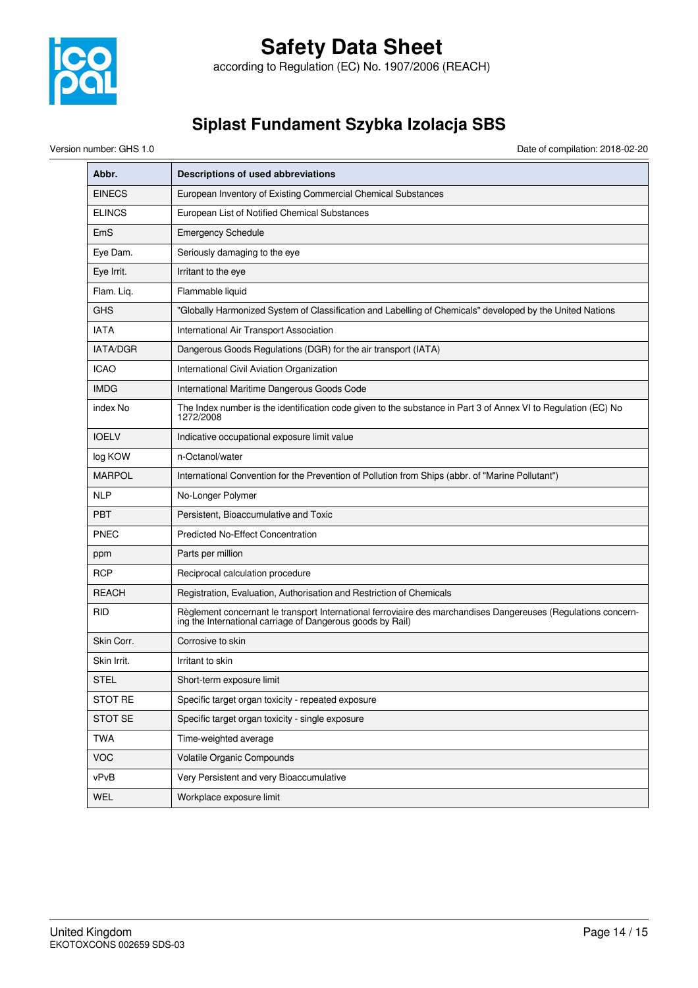

according to Regulation (EC) No. 1907/2006 (REACH)

## **Siplast Fundament Szybka Izolacja SBS**

Version number: GHS 1.0 Date of compilation: 2018-02-20

| Abbr.           | Descriptions of used abbreviations                                                                                                                                           |
|-----------------|------------------------------------------------------------------------------------------------------------------------------------------------------------------------------|
| <b>EINECS</b>   | European Inventory of Existing Commercial Chemical Substances                                                                                                                |
| <b>ELINCS</b>   | European List of Notified Chemical Substances                                                                                                                                |
| EmS             | <b>Emergency Schedule</b>                                                                                                                                                    |
| Eye Dam.        | Seriously damaging to the eye                                                                                                                                                |
| Eye Irrit.      | Irritant to the eye                                                                                                                                                          |
| Flam. Liq.      | Flammable liquid                                                                                                                                                             |
| <b>GHS</b>      | "Globally Harmonized System of Classification and Labelling of Chemicals" developed by the United Nations                                                                    |
| <b>IATA</b>     | International Air Transport Association                                                                                                                                      |
| <b>IATA/DGR</b> | Dangerous Goods Regulations (DGR) for the air transport (IATA)                                                                                                               |
| <b>ICAO</b>     | International Civil Aviation Organization                                                                                                                                    |
| <b>IMDG</b>     | International Maritime Dangerous Goods Code                                                                                                                                  |
| index No        | The Index number is the identification code given to the substance in Part 3 of Annex VI to Regulation (EC) No<br>1272/2008                                                  |
| <b>IOELV</b>    | Indicative occupational exposure limit value                                                                                                                                 |
| log KOW         | n-Octanol/water                                                                                                                                                              |
| <b>MARPOL</b>   | International Convention for the Prevention of Pollution from Ships (abbr. of "Marine Pollutant")                                                                            |
| <b>NLP</b>      | No-Longer Polymer                                                                                                                                                            |
| <b>PBT</b>      | Persistent, Bioaccumulative and Toxic                                                                                                                                        |
| <b>PNEC</b>     | <b>Predicted No-Effect Concentration</b>                                                                                                                                     |
| ppm             | Parts per million                                                                                                                                                            |
| <b>RCP</b>      | Reciprocal calculation procedure                                                                                                                                             |
| <b>REACH</b>    | Registration, Evaluation, Authorisation and Restriction of Chemicals                                                                                                         |
| RID             | Règlement concernant le transport International ferroviaire des marchandises Dangereuses (Regulations concern-<br>ing the International carriage of Dangerous goods by Rail) |
| Skin Corr.      | Corrosive to skin                                                                                                                                                            |
| Skin Irrit.     | Irritant to skin                                                                                                                                                             |
| <b>STEL</b>     | Short-term exposure limit                                                                                                                                                    |
| <b>STOT RE</b>  | Specific target organ toxicity - repeated exposure                                                                                                                           |
| STOT SE         | Specific target organ toxicity - single exposure                                                                                                                             |
| <b>TWA</b>      | Time-weighted average                                                                                                                                                        |
| <b>VOC</b>      | Volatile Organic Compounds                                                                                                                                                   |
| vPvB            | Very Persistent and very Bioaccumulative                                                                                                                                     |
| WEL             | Workplace exposure limit                                                                                                                                                     |